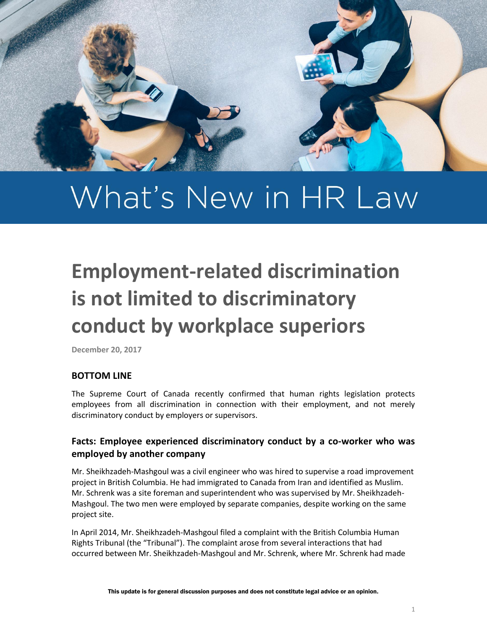

# What's New in HR Law

## **Employment-related discrimination is not limited to discriminatory conduct by workplace superiors**

**December 20, 2017**

#### **BOTTOM LINE**

The Supreme Court of Canada recently confirmed that human rights legislation protects employees from all discrimination in connection with their employment, and not merely discriminatory conduct by employers or supervisors.

#### **Facts: Employee experienced discriminatory conduct by a co-worker who was employed by another company**

Mr. Sheikhzadeh-Mashgoul was a civil engineer who was hired to supervise a road improvement project in British Columbia. He had immigrated to Canada from Iran and identified as Muslim. Mr. Schrenk was a site foreman and superintendent who was supervised by Mr. Sheikhzadeh-Mashgoul. The two men were employed by separate companies, despite working on the same project site.

In April 2014, Mr. Sheikhzadeh-Mashgoul filed a complaint with the British Columbia Human Rights Tribunal (the "Tribunal"). The complaint arose from several interactions that had occurred between Mr. Sheikhzadeh-Mashgoul and Mr. Schrenk, where Mr. Schrenk had made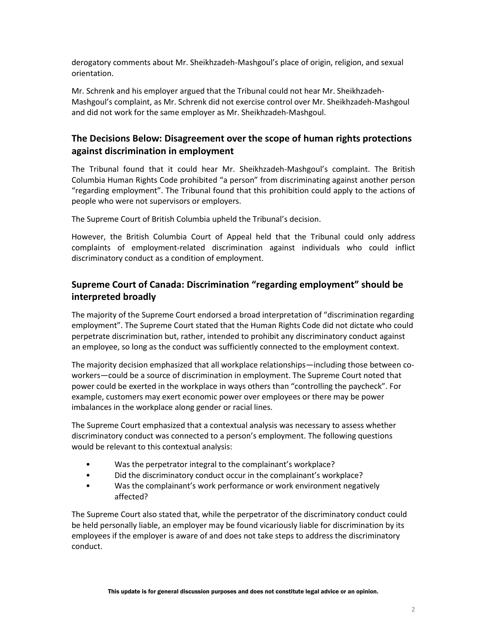derogatory comments about Mr. Sheikhzadeh-Mashgoul's place of origin, religion, and sexual orientation.

Mr. Schrenk and his employer argued that the Tribunal could not hear Mr. Sheikhzadeh-Mashgoul's complaint, as Mr. Schrenk did not exercise control over Mr. Sheikhzadeh-Mashgoul and did not work for the same employer as Mr. Sheikhzadeh-Mashgoul.

#### **The Decisions Below: Disagreement over the scope of human rights protections against discrimination in employment**

The Tribunal found that it could hear Mr. Sheikhzadeh-Mashgoul's complaint. The British Columbia Human Rights Code prohibited "a person" from discriminating against another person "regarding employment". The Tribunal found that this prohibition could apply to the actions of people who were not supervisors or employers.

The Supreme Court of British Columbia upheld the Tribunal's decision.

However, the British Columbia Court of Appeal held that the Tribunal could only address complaints of employment-related discrimination against individuals who could inflict discriminatory conduct as a condition of employment.

### **Supreme Court of Canada: Discrimination "regarding employment" should be interpreted broadly**

The majority of the Supreme Court endorsed a broad interpretation of "discrimination regarding employment". The Supreme Court stated that the Human Rights Code did not dictate who could perpetrate discrimination but, rather, intended to prohibit any discriminatory conduct against an employee, so long as the conduct was sufficiently connected to the employment context.

The majority decision emphasized that all workplace relationships—including those between coworkers—could be a source of discrimination in employment. The Supreme Court noted that power could be exerted in the workplace in ways others than "controlling the paycheck". For example, customers may exert economic power over employees or there may be power imbalances in the workplace along gender or racial lines.

The Supreme Court emphasized that a contextual analysis was necessary to assess whether discriminatory conduct was connected to a person's employment. The following questions would be relevant to this contextual analysis:

- Was the perpetrator integral to the complainant's workplace?
- Did the discriminatory conduct occur in the complainant's workplace?
- Was the complainant's work performance or work environment negatively affected?

The Supreme Court also stated that, while the perpetrator of the discriminatory conduct could be held personally liable, an employer may be found vicariously liable for discrimination by its employees if the employer is aware of and does not take steps to address the discriminatory conduct.